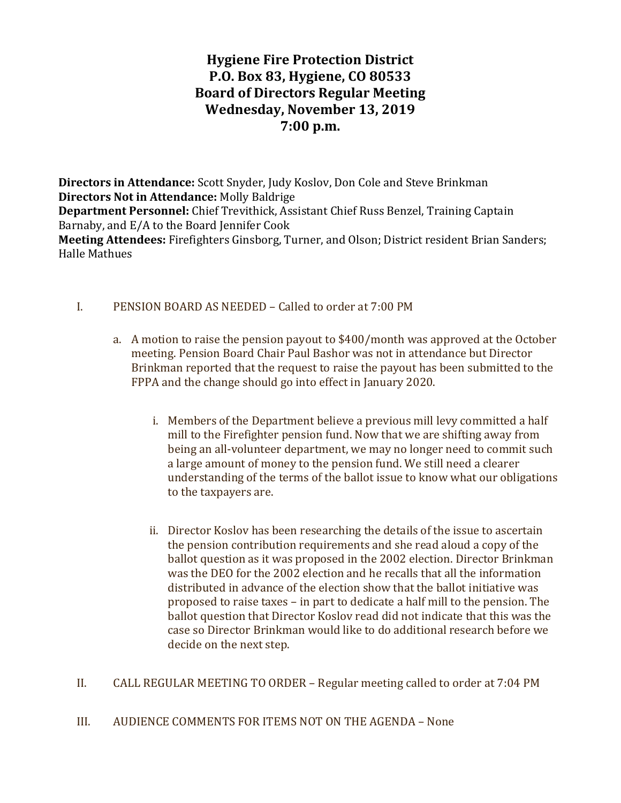# Hygiene Fire Protection District P.O. Box 83, Hygiene, CO 80533 Board of Directors Regular Meeting Wednesday, November 13, 2019 7:00 p.m.

Directors in Attendance: Scott Snyder, Judy Koslov, Don Cole and Steve Brinkman Directors Not in Attendance: Molly Baldrige Department Personnel: Chief Trevithick, Assistant Chief Russ Benzel, Training Captain Barnaby, and E/A to the Board Jennifer Cook Meeting Attendees: Firefighters Ginsborg, Turner, and Olson; District resident Brian Sanders; Halle Mathues

## I. PENSION BOARD AS NEEDED – Called to order at 7:00 PM

- a. A motion to raise the pension payout to \$400/month was approved at the October meeting. Pension Board Chair Paul Bashor was not in attendance but Director Brinkman reported that the request to raise the payout has been submitted to the FPPA and the change should go into effect in January 2020.
	- i. Members of the Department believe a previous mill levy committed a half mill to the Firefighter pension fund. Now that we are shifting away from being an all-volunteer department, we may no longer need to commit such a large amount of money to the pension fund. We still need a clearer understanding of the terms of the ballot issue to know what our obligations to the taxpayers are.
	- ii. Director Koslov has been researching the details of the issue to ascertain the pension contribution requirements and she read aloud a copy of the ballot question as it was proposed in the 2002 election. Director Brinkman was the DEO for the 2002 election and he recalls that all the information distributed in advance of the election show that the ballot initiative was proposed to raise taxes – in part to dedicate a half mill to the pension. The ballot question that Director Koslov read did not indicate that this was the case so Director Brinkman would like to do additional research before we decide on the next step.
- II. CALL REGULAR MEETING TO ORDER Regular meeting called to order at 7:04 PM

III. AUDIENCE COMMENTS FOR ITEMS NOT ON THE AGENDA – None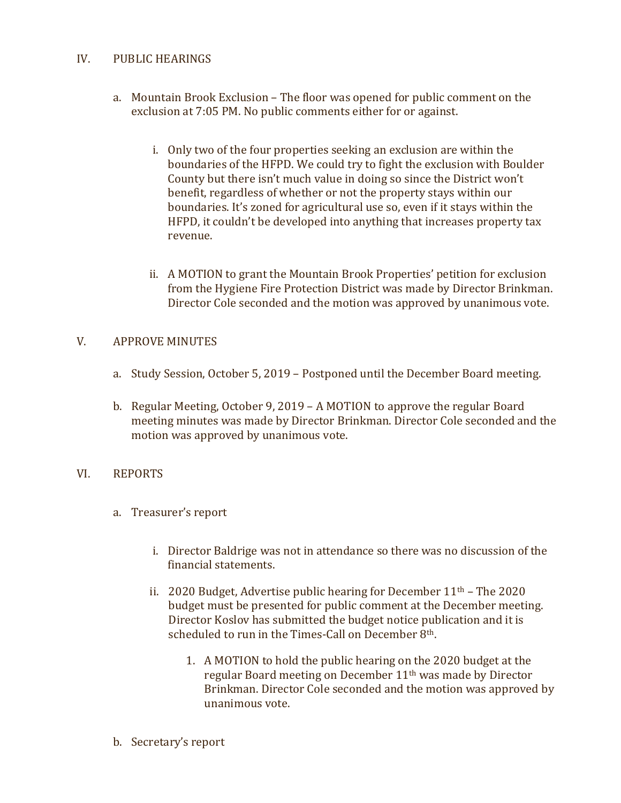## IV. PUBLIC HEARINGS

- a. Mountain Brook Exclusion The floor was opened for public comment on the exclusion at 7:05 PM. No public comments either for or against.
	- i. Only two of the four properties seeking an exclusion are within the boundaries of the HFPD. We could try to fight the exclusion with Boulder County but there isn't much value in doing so since the District won't benefit, regardless of whether or not the property stays within our boundaries. It's zoned for agricultural use so, even if it stays within the HFPD, it couldn't be developed into anything that increases property tax revenue.
	- ii. A MOTION to grant the Mountain Brook Properties' petition for exclusion from the Hygiene Fire Protection District was made by Director Brinkman. Director Cole seconded and the motion was approved by unanimous vote.

# V. APPROVE MINUTES

- a. Study Session, October 5, 2019 Postponed until the December Board meeting.
- b. Regular Meeting, October 9, 2019 A MOTION to approve the regular Board meeting minutes was made by Director Brinkman. Director Cole seconded and the motion was approved by unanimous vote.

## VI. REPORTS

- a. Treasurer's report
	- i. Director Baldrige was not in attendance so there was no discussion of the financial statements.
	- ii. 2020 Budget, Advertise public hearing for December  $11<sup>th</sup>$  The 2020 budget must be presented for public comment at the December meeting. Director Koslov has submitted the budget notice publication and it is scheduled to run in the Times-Call on December 8<sup>th</sup>.
		- 1. A MOTION to hold the public hearing on the 2020 budget at the regular Board meeting on December 11th was made by Director Brinkman. Director Cole seconded and the motion was approved by unanimous vote.
- b. Secretary's report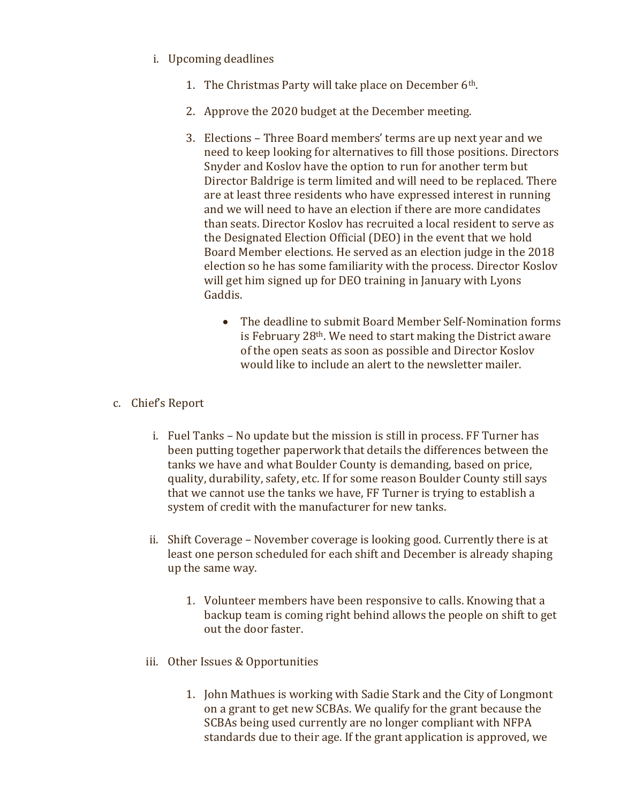- i. Upcoming deadlines
	- 1. The Christmas Party will take place on December 6th.
	- 2. Approve the 2020 budget at the December meeting.
	- 3. Elections Three Board members' terms are up next year and we need to keep looking for alternatives to fill those positions. Directors Snyder and Koslov have the option to run for another term but Director Baldrige is term limited and will need to be replaced. There are at least three residents who have expressed interest in running and we will need to have an election if there are more candidates than seats. Director Koslov has recruited a local resident to serve as the Designated Election Official (DEO) in the event that we hold Board Member elections. He served as an election judge in the 2018 election so he has some familiarity with the process. Director Koslov will get him signed up for DEO training in January with Lyons Gaddis.
		- The deadline to submit Board Member Self-Nomination forms is February 28th. We need to start making the District aware of the open seats as soon as possible and Director Koslov would like to include an alert to the newsletter mailer.
- c. Chief's Report
	- i. Fuel Tanks No update but the mission is still in process. FF Turner has been putting together paperwork that details the differences between the tanks we have and what Boulder County is demanding, based on price, quality, durability, safety, etc. If for some reason Boulder County still says that we cannot use the tanks we have, FF Turner is trying to establish a system of credit with the manufacturer for new tanks.
	- ii. Shift Coverage November coverage is looking good. Currently there is at least one person scheduled for each shift and December is already shaping up the same way.
		- 1. Volunteer members have been responsive to calls. Knowing that a backup team is coming right behind allows the people on shift to get out the door faster.
	- iii. Other Issues & Opportunities
		- 1. John Mathues is working with Sadie Stark and the City of Longmont on a grant to get new SCBAs. We qualify for the grant because the SCBAs being used currently are no longer compliant with NFPA standards due to their age. If the grant application is approved, we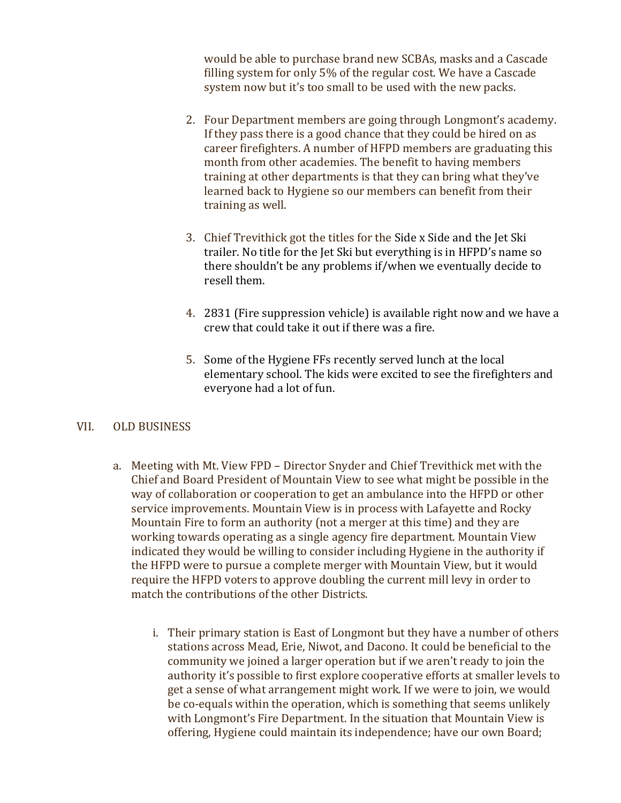would be able to purchase brand new SCBAs, masks and a Cascade filling system for only 5% of the regular cost. We have a Cascade system now but it's too small to be used with the new packs.

- 2. Four Department members are going through Longmont's academy. If they pass there is a good chance that they could be hired on as career firefighters. A number of HFPD members are graduating this month from other academies. The benefit to having members training at other departments is that they can bring what they've learned back to Hygiene so our members can benefit from their training as well.
- 3. Chief Trevithick got the titles for the Side x Side and the Jet Ski trailer. No title for the Jet Ski but everything is in HFPD's name so there shouldn't be any problems if/when we eventually decide to resell them.
- 4. 2831 (Fire suppression vehicle) is available right now and we have a crew that could take it out if there was a fire.
- 5. Some of the Hygiene FFs recently served lunch at the local elementary school. The kids were excited to see the firefighters and everyone had a lot of fun.

## VII. OLD BUSINESS

- a. Meeting with Mt. View FPD Director Snyder and Chief Trevithick met with the Chief and Board President of Mountain View to see what might be possible in the way of collaboration or cooperation to get an ambulance into the HFPD or other service improvements. Mountain View is in process with Lafayette and Rocky Mountain Fire to form an authority (not a merger at this time) and they are working towards operating as a single agency fire department. Mountain View indicated they would be willing to consider including Hygiene in the authority if the HFPD were to pursue a complete merger with Mountain View, but it would require the HFPD voters to approve doubling the current mill levy in order to match the contributions of the other Districts.
	- i. Their primary station is East of Longmont but they have a number of others stations across Mead, Erie, Niwot, and Dacono. It could be beneficial to the community we joined a larger operation but if we aren't ready to join the authority it's possible to first explore cooperative efforts at smaller levels to get a sense of what arrangement might work. If we were to join, we would be co-equals within the operation, which is something that seems unlikely with Longmont's Fire Department. In the situation that Mountain View is offering, Hygiene could maintain its independence; have our own Board;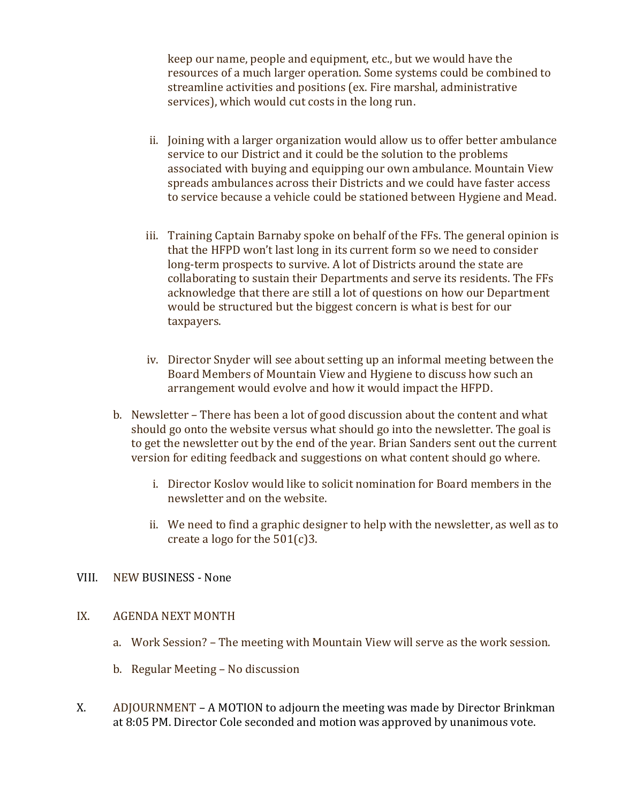keep our name, people and equipment, etc., but we would have the resources of a much larger operation. Some systems could be combined to streamline activities and positions (ex. Fire marshal, administrative services), which would cut costs in the long run.

- ii. Joining with a larger organization would allow us to offer better ambulance service to our District and it could be the solution to the problems associated with buying and equipping our own ambulance. Mountain View spreads ambulances across their Districts and we could have faster access to service because a vehicle could be stationed between Hygiene and Mead.
- iii. Training Captain Barnaby spoke on behalf of the FFs. The general opinion is that the HFPD won't last long in its current form so we need to consider long-term prospects to survive. A lot of Districts around the state are collaborating to sustain their Departments and serve its residents. The FFs acknowledge that there are still a lot of questions on how our Department would be structured but the biggest concern is what is best for our taxpayers.
- iv. Director Snyder will see about setting up an informal meeting between the Board Members of Mountain View and Hygiene to discuss how such an arrangement would evolve and how it would impact the HFPD.
- b. Newsletter There has been a lot of good discussion about the content and what should go onto the website versus what should go into the newsletter. The goal is to get the newsletter out by the end of the year. Brian Sanders sent out the current version for editing feedback and suggestions on what content should go where.
	- i. Director Koslov would like to solicit nomination for Board members in the newsletter and on the website.
	- ii. We need to find a graphic designer to help with the newsletter, as well as to create a logo for the 501(c)3.

## VIII. NEW BUSINESS - None

## IX. AGENDA NEXT MONTH

- a. Work Session? The meeting with Mountain View will serve as the work session.
- b. Regular Meeting No discussion
- X. ADJOURNMENT A MOTION to adjourn the meeting was made by Director Brinkman at 8:05 PM. Director Cole seconded and motion was approved by unanimous vote.